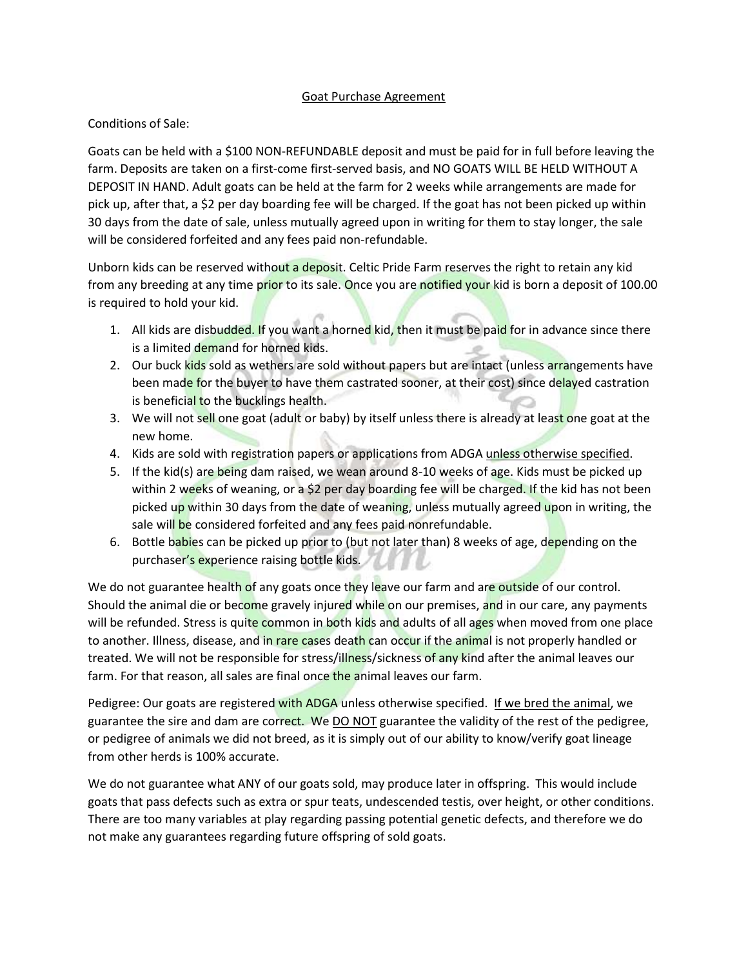## Goat Purchase Agreement

## Conditions of Sale:

Goats can be held with a \$100 NON-REFUNDABLE deposit and must be paid for in full before leaving the farm. Deposits are taken on a first-come first-served basis, and NO GOATS WILL BE HELD WITHOUT A DEPOSIT IN HAND. Adult goats can be held at the farm for 2 weeks while arrangements are made for pick up, after that, a \$2 per day boarding fee will be charged. If the goat has not been picked up within 30 days from the date of sale, unless mutually agreed upon in writing for them to stay longer, the sale will be considered forfeited and any fees paid non-refundable.

Unborn kids can be reserved without a deposit. Celtic Pride Farm reserves the right to retain any kid from any breeding at any time prior to its sale. Once you are notified your kid is born a deposit of 100.00 is required to hold your kid.

- 1. All kids are disbudded. If you want a horned kid, then it must be paid for in advance since there is a limited demand for horned kids.
- 2. Our buck kids sold as wethers are sold without papers but are intact (unless arrangements have been made for the buyer to have them castrated sooner, at their cost) since delayed castration is beneficial to the bucklings health.
- 3. We will not sell one goat (adult or baby) by itself unless there is already at least one goat at the new home.
- 4. Kids are sold with registration papers or applications from ADGA unless otherwise specified.
- 5. If the kid(s) are being dam raised, we wean around 8-10 weeks of age. Kids must be picked up within 2 weeks of weaning, or a \$2 per day boarding fee will be charged. If the kid has not been picked up within 30 days from the date of weaning, unless mutually agreed upon in writing, the sale will be considered forfeited and any fees paid nonrefundable.
- 6. Bottle babies can be picked up prior to (but not later than) 8 weeks of age, depending on the purchaser's experience raising bottle kids.

We do not guarantee health of any goats once they leave our farm and are outside of our control. Should the animal die or become gravely injured while on our premises, and in our care, any payments will be refunded. Stress is quite common in both kids and adults of all ages when moved from one place to another. Illness, disease, and in rare cases death can occur if the animal is not properly handled or treated. We will not be responsible for stress/illness/sickness of any kind after the animal leaves our farm. For that reason, all sales are final once the animal leaves our farm.

Pedigree: Our goats are registered with ADGA unless otherwise specified. If we bred the animal, we guarantee the sire and dam are correct. We DO NOT guarantee the validity of the rest of the pedigree, or pedigree of animals we did not breed, as it is simply out of our ability to know/verify goat lineage from other herds is 100% accurate.

We do not guarantee what ANY of our goats sold, may produce later in offspring. This would include goats that pass defects such as extra or spur teats, undescended testis, over height, or other conditions. There are too many variables at play regarding passing potential genetic defects, and therefore we do not make any guarantees regarding future offspring of sold goats.